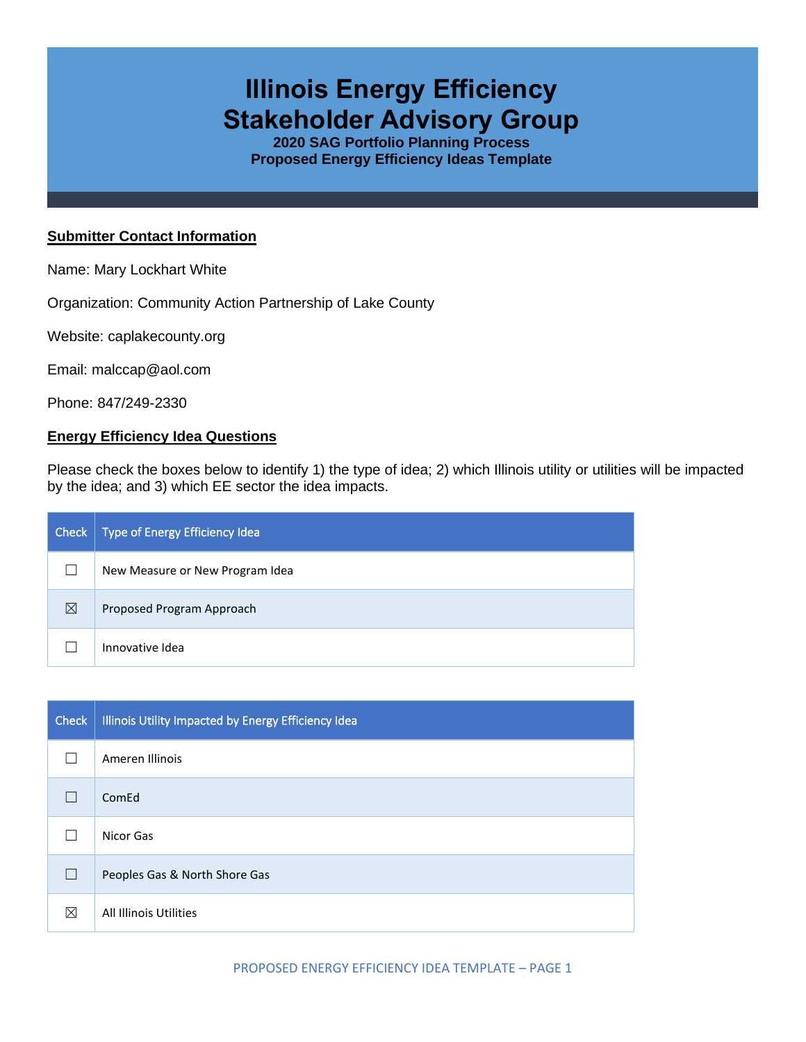## **Illinois Energy Efficiency Stakeholder Advisory Group**

**2020 SAG Portfolio Planning Process Proposed Energy Efficiency Ideas Template**

## **Submitter Contact Information**

Name: Mary Lockhart White

Organization: Community Action Partnership of Lake County

Website: caplakecounty.org

Email: malccap@aol.com

Phone: 847/249-2330

## **Energy Efficiency Idea Questions**

Please check the boxes below to identify 1) the type of idea; 2) which Illinois utility or utilities will be impacted by the idea; and 3) which EE sector the idea impacts.

| Check       | Type of Energy Efficiency Idea  |
|-------------|---------------------------------|
|             | New Measure or New Program Idea |
| $\boxtimes$ | Proposed Program Approach       |
|             | Innovative Idea                 |

| <b>Check</b> | Illinois Utility Impacted by Energy Efficiency Idea |
|--------------|-----------------------------------------------------|
|              | Ameren Illinois                                     |
|              | ComEd                                               |
|              | Nicor Gas                                           |
| $\Box$       | Peoples Gas & North Shore Gas                       |
| ⊠            | All Illinois Utilities                              |